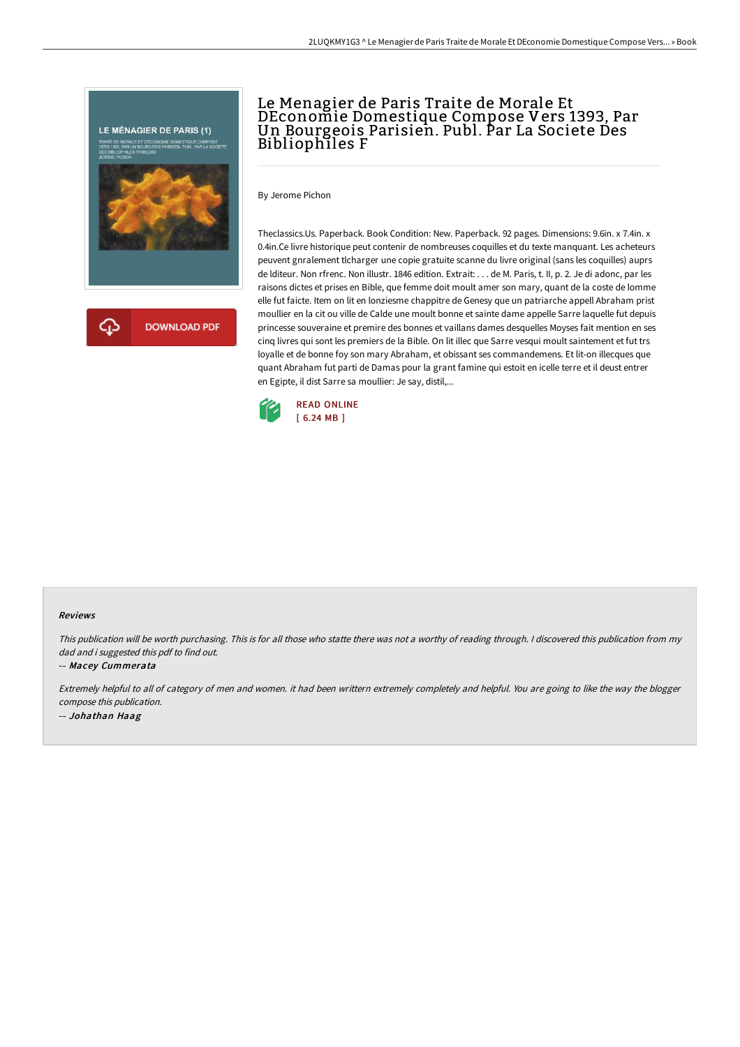

# Le Menagier de Paris Traite de Morale Et DEconomie Domestique Compose Vers 1393, Par Un Bourgeois Parisien. Publ. Par La Societe Des Bibliophiles F

By Jerome Pichon

Theclassics.Us. Paperback. Book Condition: New. Paperback. 92 pages. Dimensions: 9.6in. x 7.4in. x 0.4in.Ce livre historique peut contenir de nombreuses coquilles et du texte manquant. Les acheteurs peuvent gnralement tlcharger une copie gratuite scanne du livre original (sans les coquilles) auprs de lditeur. Non rfrenc. Non illustr. 1846 edition. Extrait: . . . de M. Paris, t. II, p. 2. Je di adonc, par les raisons dictes et prises en Bible, que femme doit moult amer son mary, quant de la coste de lomme elle fut faicte. Item on lit en lonziesme chappitre de Genesy que un patriarche appell Abraham prist moullier en la cit ou ville de Calde une moult bonne et sainte dame appelle Sarre laquelle fut depuis princesse souveraine et premire des bonnes et vaillans dames desquelles Moyses fait mention en ses cinq livres qui sont les premiers de la Bible. On lit illec que Sarre vesqui moult saintement et fut trs loyalle et de bonne foy son mary Abraham, et obissant ses commandemens. Et lit-on illecques que quant Abraham fut parti de Damas pour la grant famine qui estoit en icelle terre et il deust entrer en Egipte, il dist Sarre sa moullier: Je say, distil,...



#### Reviews

This publication will be worth purchasing. This is for all those who statte there was not <sup>a</sup> worthy of reading through. <sup>I</sup> discovered this publication from my dad and i suggested this pdf to find out.

#### -- Macey Cummerata

Extremely helpful to all of category of men and women. it had been writtern extremely completely and helpful. You are going to like the way the blogger compose this publication. -- Johathan Haag